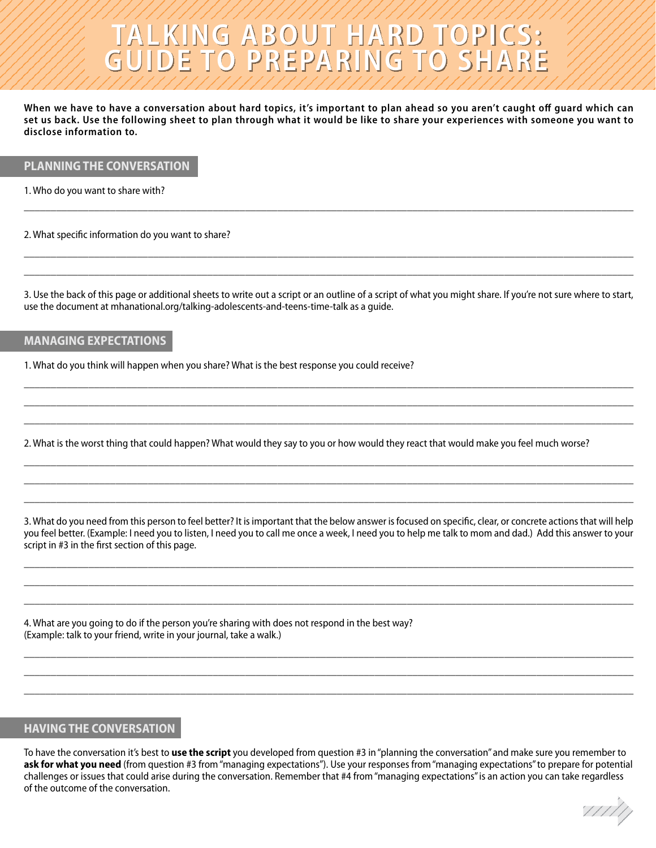# **TALKING ABOUT HARD TOPICS: GUIDE TO PREPARING TO SHARE**

**When we have to have a conversation about hard topics, it's important to plan ahead so you aren't caught off guard which can set us back. Use the following sheet to plan through what it would be like to share your experiences with someone you want to disclose information to.** 

### **PLANNING THE CONVERSATION**

1. Who do you want to share with?

2. What specific information do you want to share?

3. Use the back of this page or additional sheets to write out a script or an outline of a script of what you might share. If you're not sure where to start, use the document at mhanational.org/talking-adolescents-and-teens-time-talk as a guide.

\_\_\_\_\_\_\_\_\_\_\_\_\_\_\_\_\_\_\_\_\_\_\_\_\_\_\_\_\_\_\_\_\_\_\_\_\_\_\_\_\_\_\_\_\_\_\_\_\_\_\_\_\_\_\_\_\_\_\_\_\_\_\_\_\_\_\_\_\_\_\_\_\_\_\_\_\_\_\_\_\_\_\_\_\_\_\_\_\_\_\_\_\_\_\_\_\_\_\_\_\_\_\_\_\_\_\_\_\_\_\_\_\_ \_\_\_\_\_\_\_\_\_\_\_\_\_\_\_\_\_\_\_\_\_\_\_\_\_\_\_\_\_\_\_\_\_\_\_\_\_\_\_\_\_\_\_\_\_\_\_\_\_\_\_\_\_\_\_\_\_\_\_\_\_\_\_\_\_\_\_\_\_\_\_\_\_\_\_\_\_\_\_\_\_\_\_\_\_\_\_\_\_\_\_\_\_\_\_\_\_\_\_\_\_\_\_\_\_\_\_\_\_\_\_\_\_ \_\_\_\_\_\_\_\_\_\_\_\_\_\_\_\_\_\_\_\_\_\_\_\_\_\_\_\_\_\_\_\_\_\_\_\_\_\_\_\_\_\_\_\_\_\_\_\_\_\_\_\_\_\_\_\_\_\_\_\_\_\_\_\_\_\_\_\_\_\_\_\_\_\_\_\_\_\_\_\_\_\_\_\_\_\_\_\_\_\_\_\_\_\_\_\_\_\_\_\_\_\_\_\_\_\_\_\_\_\_\_\_\_

\_\_\_\_\_\_\_\_\_\_\_\_\_\_\_\_\_\_\_\_\_\_\_\_\_\_\_\_\_\_\_\_\_\_\_\_\_\_\_\_\_\_\_\_\_\_\_\_\_\_\_\_\_\_\_\_\_\_\_\_\_\_\_\_\_\_\_\_\_\_\_\_\_\_\_\_\_\_\_\_\_\_\_\_\_\_\_\_\_\_\_\_\_\_\_\_\_\_\_\_\_\_\_\_\_\_\_\_\_\_\_\_\_

\_\_\_\_\_\_\_\_\_\_\_\_\_\_\_\_\_\_\_\_\_\_\_\_\_\_\_\_\_\_\_\_\_\_\_\_\_\_\_\_\_\_\_\_\_\_\_\_\_\_\_\_\_\_\_\_\_\_\_\_\_\_\_\_\_\_\_\_\_\_\_\_\_\_\_\_\_\_\_\_\_\_\_\_\_\_\_\_\_\_\_\_\_\_\_\_\_\_\_\_\_\_\_\_\_\_\_\_\_\_\_\_\_ \_\_\_\_\_\_\_\_\_\_\_\_\_\_\_\_\_\_\_\_\_\_\_\_\_\_\_\_\_\_\_\_\_\_\_\_\_\_\_\_\_\_\_\_\_\_\_\_\_\_\_\_\_\_\_\_\_\_\_\_\_\_\_\_\_\_\_\_\_\_\_\_\_\_\_\_\_\_\_\_\_\_\_\_\_\_\_\_\_\_\_\_\_\_\_\_\_\_\_\_\_\_\_\_\_\_\_\_\_\_\_\_\_

#### **MANAGING EXPECTATIONS**

1. What do you think will happen when you share? What is the best response you could receive?

2. What is the worst thing that could happen? What would they say to you or how would they react that would make you feel much worse?

3. What do you need from this person to feel better? It is important that the below answer is focused on specific, clear, or concrete actions that will help you feel better. (Example: I need you to listen, I need you to call me once a week, I need you to help me talk to mom and dad.) Add this answer to your script in #3 in the first section of this page.

\_\_\_\_\_\_\_\_\_\_\_\_\_\_\_\_\_\_\_\_\_\_\_\_\_\_\_\_\_\_\_\_\_\_\_\_\_\_\_\_\_\_\_\_\_\_\_\_\_\_\_\_\_\_\_\_\_\_\_\_\_\_\_\_\_\_\_\_\_\_\_\_\_\_\_\_\_\_\_\_\_\_\_\_\_\_\_\_\_\_\_\_\_\_\_\_\_\_\_\_\_\_\_\_\_\_\_\_\_\_\_\_\_ \_\_\_\_\_\_\_\_\_\_\_\_\_\_\_\_\_\_\_\_\_\_\_\_\_\_\_\_\_\_\_\_\_\_\_\_\_\_\_\_\_\_\_\_\_\_\_\_\_\_\_\_\_\_\_\_\_\_\_\_\_\_\_\_\_\_\_\_\_\_\_\_\_\_\_\_\_\_\_\_\_\_\_\_\_\_\_\_\_\_\_\_\_\_\_\_\_\_\_\_\_\_\_\_\_\_\_\_\_\_\_\_\_ \_\_\_\_\_\_\_\_\_\_\_\_\_\_\_\_\_\_\_\_\_\_\_\_\_\_\_\_\_\_\_\_\_\_\_\_\_\_\_\_\_\_\_\_\_\_\_\_\_\_\_\_\_\_\_\_\_\_\_\_\_\_\_\_\_\_\_\_\_\_\_\_\_\_\_\_\_\_\_\_\_\_\_\_\_\_\_\_\_\_\_\_\_\_\_\_\_\_\_\_\_\_\_\_\_\_\_\_\_\_\_\_\_

\_\_\_\_\_\_\_\_\_\_\_\_\_\_\_\_\_\_\_\_\_\_\_\_\_\_\_\_\_\_\_\_\_\_\_\_\_\_\_\_\_\_\_\_\_\_\_\_\_\_\_\_\_\_\_\_\_\_\_\_\_\_\_\_\_\_\_\_\_\_\_\_\_\_\_\_\_\_\_\_\_\_\_\_\_\_\_\_\_\_\_\_\_\_\_\_\_\_\_\_\_\_\_\_\_\_\_\_\_\_\_\_\_ \_\_\_\_\_\_\_\_\_\_\_\_\_\_\_\_\_\_\_\_\_\_\_\_\_\_\_\_\_\_\_\_\_\_\_\_\_\_\_\_\_\_\_\_\_\_\_\_\_\_\_\_\_\_\_\_\_\_\_\_\_\_\_\_\_\_\_\_\_\_\_\_\_\_\_\_\_\_\_\_\_\_\_\_\_\_\_\_\_\_\_\_\_\_\_\_\_\_\_\_\_\_\_\_\_\_\_\_\_\_\_\_\_ \_\_\_\_\_\_\_\_\_\_\_\_\_\_\_\_\_\_\_\_\_\_\_\_\_\_\_\_\_\_\_\_\_\_\_\_\_\_\_\_\_\_\_\_\_\_\_\_\_\_\_\_\_\_\_\_\_\_\_\_\_\_\_\_\_\_\_\_\_\_\_\_\_\_\_\_\_\_\_\_\_\_\_\_\_\_\_\_\_\_\_\_\_\_\_\_\_\_\_\_\_\_\_\_\_\_\_\_\_\_\_\_\_

\_\_\_\_\_\_\_\_\_\_\_\_\_\_\_\_\_\_\_\_\_\_\_\_\_\_\_\_\_\_\_\_\_\_\_\_\_\_\_\_\_\_\_\_\_\_\_\_\_\_\_\_\_\_\_\_\_\_\_\_\_\_\_\_\_\_\_\_\_\_\_\_\_\_\_\_\_\_\_\_\_\_\_\_\_\_\_\_\_\_\_\_\_\_\_\_\_\_\_\_\_\_\_\_\_\_\_\_\_\_\_\_\_ \_\_\_\_\_\_\_\_\_\_\_\_\_\_\_\_\_\_\_\_\_\_\_\_\_\_\_\_\_\_\_\_\_\_\_\_\_\_\_\_\_\_\_\_\_\_\_\_\_\_\_\_\_\_\_\_\_\_\_\_\_\_\_\_\_\_\_\_\_\_\_\_\_\_\_\_\_\_\_\_\_\_\_\_\_\_\_\_\_\_\_\_\_\_\_\_\_\_\_\_\_\_\_\_\_\_\_\_\_\_\_\_\_ \_\_\_\_\_\_\_\_\_\_\_\_\_\_\_\_\_\_\_\_\_\_\_\_\_\_\_\_\_\_\_\_\_\_\_\_\_\_\_\_\_\_\_\_\_\_\_\_\_\_\_\_\_\_\_\_\_\_\_\_\_\_\_\_\_\_\_\_\_\_\_\_\_\_\_\_\_\_\_\_\_\_\_\_\_\_\_\_\_\_\_\_\_\_\_\_\_\_\_\_\_\_\_\_\_\_\_\_\_\_\_\_\_

4. What are you going to do if the person you're sharing with does not respond in the best way? (Example: talk to your friend, write in your journal, take a walk.)

# **HAVING THE CONVERSATION**

To have the conversation it's best to **use the script** you developed from question #3 in "planning the conversation" and make sure you remember to **ask for what you need** (from question #3 from "managing expectations"). Use your responses from "managing expectations" to prepare for potential challenges or issues that could arise during the conversation. Remember that #4 from "managing expectations" is an action you can take regardless of the outcome of the conversation.

77777